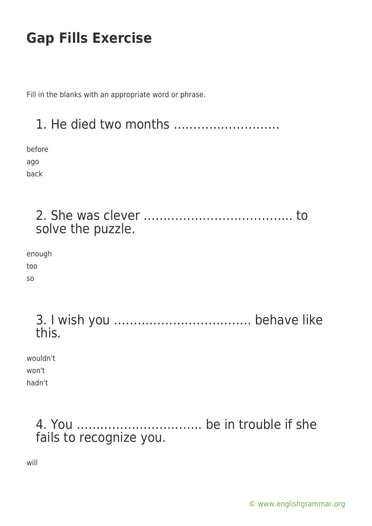Fill in the blanks with an appropriate word or phrase.

# 1. He died two months ……………………… before ago back 2. She was clever ……………………………….. to solve the puzzle. enough too so 3. I wish you …………………………….. behave like this. wouldn't won't hadn't 4. You ………………………….. be in trouble if she fails to recognize you.

will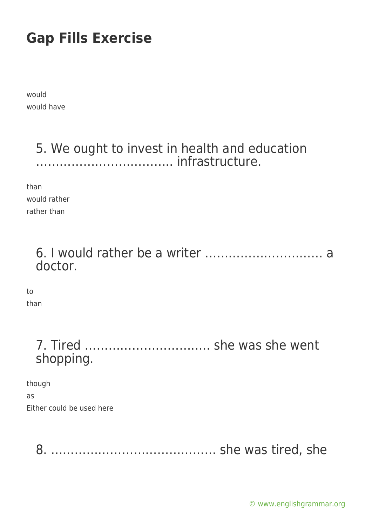would would have

### 5. We ought to invest in health and education …………………………….. infrastructure.

than would rather rather than

> 6. I would rather be a writer ………………………… a doctor.

to than

> 7. Tired ………………………….. she was she went shopping.

though as Either could be used here

8. …………………………………… she was tired, she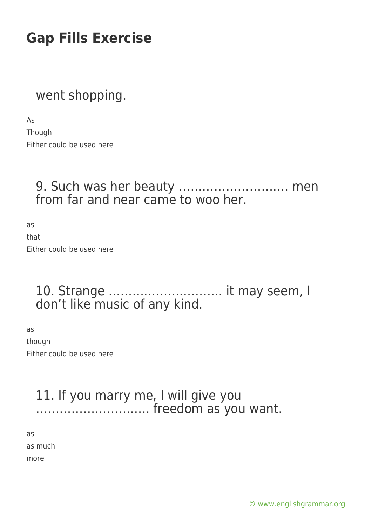### went shopping.

As Though Either could be used here

#### 9. Such was her beauty ………………………. men from far and near came to woo her.

as that Either could be used here

#### 10. Strange ……………………….. it may seem, I don't like music of any kind.

as though Either could be used here

#### 11. If you marry me, I will give you ……………………….. freedom as you want.

as as much more